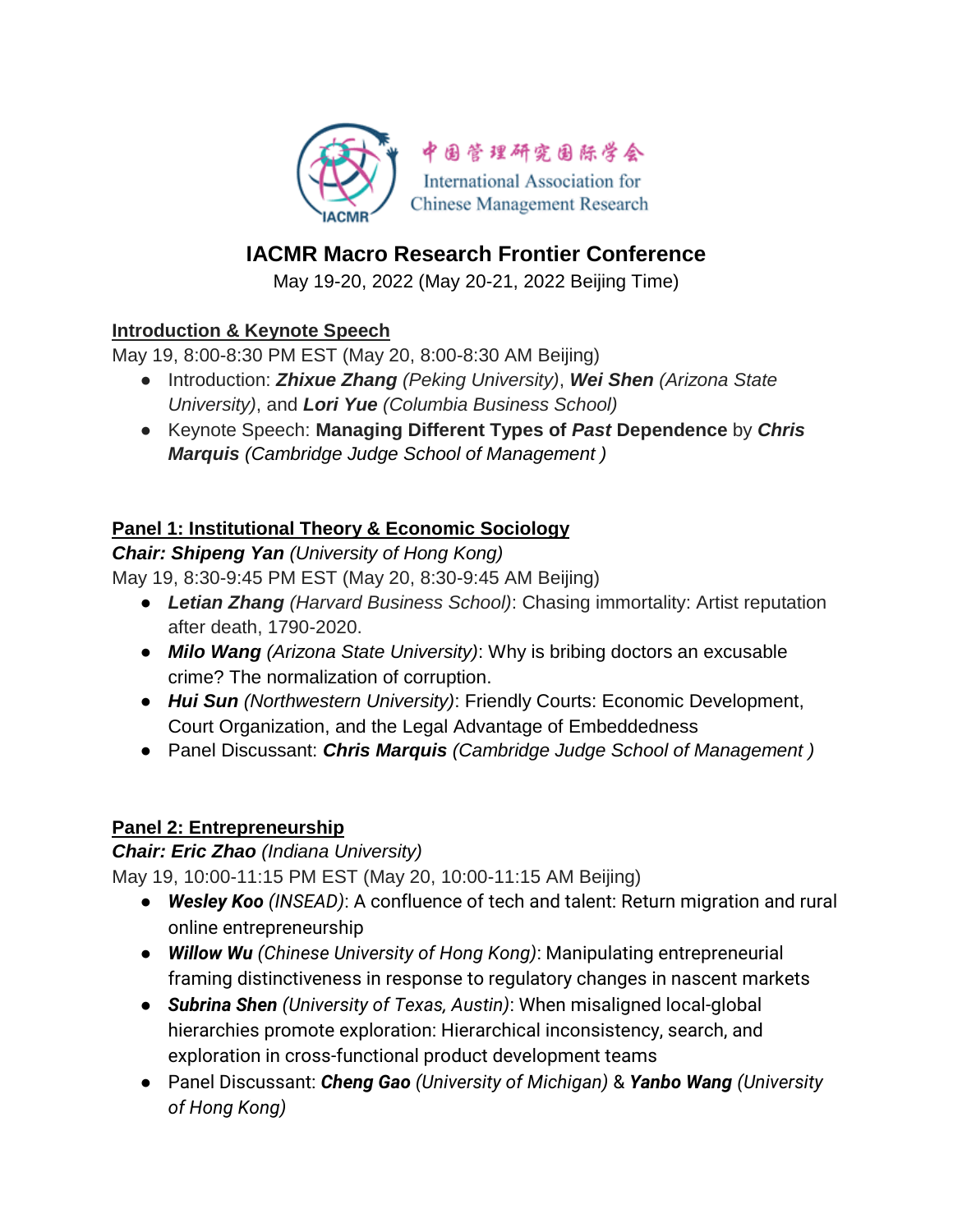

# **IACMR Macro Research Frontier Conference**

May 19-20, 2022 (May 20-21, 2022 Beijing Time)

## **Introduction & Keynote Speech**

May 19, 8:00-8:30 PM EST (May 20, 8:00-8:30 AM Beijing)

- Introduction: *Zhixue Zhang (Peking University)*, *Wei Shen (Arizona State University)*, and *Lori Yue (Columbia Business School)*
- Keynote Speech: **Managing Different Types of** *Past* **Dependence** by *Chris Marquis (Cambridge Judge School of Management )*

## **Panel 1: Institutional Theory & Economic Sociology**

*Chair: Shipeng Yan (University of Hong Kong)*

May 19, 8:30-9:45 PM EST (May 20, 8:30-9:45 AM Beijing)

- *Letian Zhang (Harvard Business School)*: Chasing immortality: Artist reputation after death, 1790-2020.
- *Milo Wang (Arizona State University)*: Why is bribing doctors an excusable crime? The normalization of corruption.
- *Hui Sun (Northwestern University)*: Friendly Courts: Economic Development, Court Organization, and the Legal Advantage of Embeddedness
- Panel Discussant: *Chris Marquis (Cambridge Judge School of Management )*

#### **Panel 2: Entrepreneurship**

#### *Chair: Eric Zhao (Indiana University)*

May 19, 10:00-11:15 PM EST (May 20, 10:00-11:15 AM Beijing)

- *Wesley Koo (INSEAD)*: A confluence of tech and talent: Return migration and rural online entrepreneurship
- *Willow Wu (Chinese University of Hong Kong)*: Manipulating entrepreneurial framing distinctiveness in response to regulatory changes in nascent markets
- *Subrina Shen (University of Texas, Austin)*: When misaligned local-global hierarchies promote exploration: Hierarchical inconsistency, search, and exploration in cross-functional product development teams
- Panel Discussant: *Cheng Gao (University of Michigan)* & *Yanbo Wang (University of Hong Kong)*